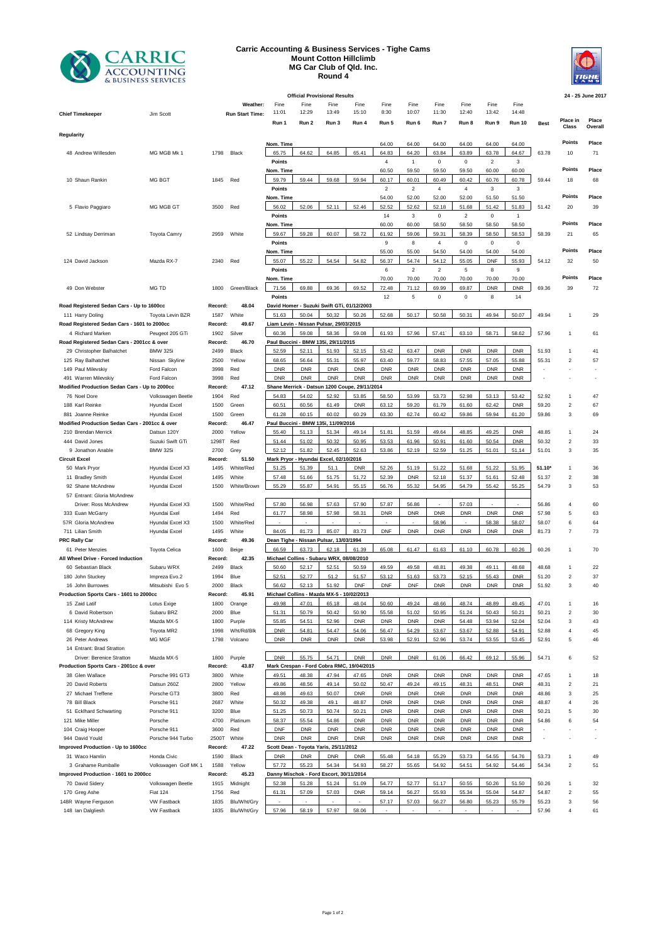

## **Carric Accounting & Business Services - Tighe Cams Mount Cotton Hillclimb MG Car Club of Qld. Inc. Round 4**



| 24 - 25 June 2017<br><b>Official Provisional Results</b> |                                                                |                                           |                 |                        |                                               |                     |                                          |                     |                |                |                |                |                         |                |                          |                            |          |
|----------------------------------------------------------|----------------------------------------------------------------|-------------------------------------------|-----------------|------------------------|-----------------------------------------------|---------------------|------------------------------------------|---------------------|----------------|----------------|----------------|----------------|-------------------------|----------------|--------------------------|----------------------------|----------|
|                                                          |                                                                |                                           |                 |                        |                                               |                     |                                          |                     |                |                |                |                |                         |                |                          |                            |          |
|                                                          |                                                                |                                           |                 | Weather:               | Fine                                          | Fine                | Fine                                     | Fine                | Fine           | Fine           | Fine           | Fine           | Fine                    | Fine           |                          |                            |          |
|                                                          | <b>Chief Timekeeper</b>                                        | Jim Scott                                 |                 | <b>Run Start Time:</b> | 11:01                                         | 12:29               | 13:49                                    | 15:10               | 8:30           | 10:07          | 11:30          | 12:40          | 13:42                   | 14:48          |                          | Place in                   | Place    |
|                                                          |                                                                |                                           |                 |                        | Run 1                                         | Run 2               | Run 3                                    | Run 4               | Run 5          | Run 6          | Run 7          | Run 8          | Run 9                   | <b>Run 10</b>  | <b>Best</b>              | Class                      | Overall  |
| Regularity                                               |                                                                |                                           |                 |                        |                                               |                     |                                          |                     |                |                |                |                |                         |                |                          |                            |          |
|                                                          |                                                                |                                           |                 |                        | Nom. Time                                     |                     |                                          |                     | 64.00          | 64.00          | 64.00          | 64.00          | 64.00                   | 64.00          |                          | Points                     | Place    |
|                                                          | 48 Andrew Willesden                                            | MG MGB Mk 1                               | 1798            | Black                  | 65.75                                         | 64.62               | 64.85                                    | 65.41               | 64.83          | 64.20          | 63.84          | 63.89          | 63.78                   | 64.67          | 63.78                    | 10                         | 71       |
|                                                          |                                                                |                                           |                 |                        | Points                                        |                     |                                          |                     | $\overline{4}$ | $\mathbf{1}$   | $\pmb{0}$      | $\mathbf 0$    | $\overline{\mathbf{c}}$ | 3              |                          |                            |          |
|                                                          |                                                                |                                           |                 |                        | Nom. Time                                     |                     |                                          |                     | 60.50          | 59.50          | 59.50          | 59.50          | 60.00                   | 60.00          |                          | <b>Points</b>              | Place    |
|                                                          | 10 Shaun Rankin                                                | MG BGT                                    | 1845            | Red                    | 59.79                                         | 59.44               | 59.68                                    | 59.94               | 60.17          | 60.01          | 60.49          | 60.42          | 60.76                   | 60.78          | 59.44                    | 18                         | 68       |
|                                                          |                                                                |                                           |                 |                        | Points                                        |                     |                                          |                     | $\overline{2}$ | $\overline{c}$ | 4              | $\overline{4}$ | 3                       | 3              |                          |                            |          |
|                                                          |                                                                |                                           |                 |                        | Nom. Time                                     |                     |                                          |                     | 54.00          | 52.00          | 52.00          | 52.00          | 51.50                   | 51.50          |                          | Points                     | Place    |
|                                                          | 5 Flavio Paggiaro                                              | MG MGB GT                                 | 3500            | Red                    | 56.02                                         | 52.06               | 52.11                                    | 52.46               | 52.52          | 52.62          | 52.18          | 51.68          | 51.42                   | 51.83          | 51.42                    | 20                         | 39       |
|                                                          |                                                                |                                           |                 |                        | Points                                        |                     |                                          |                     | 14             | 3              | $\mathbf 0$    | $\overline{2}$ | 0                       | $\mathbf{1}$   |                          |                            |          |
|                                                          |                                                                |                                           |                 |                        | Nom. Time                                     |                     |                                          |                     | 60.00          | 60.00          | 58.50          | 58.50          | 58.50                   | 58.50          |                          | Points                     | Place    |
|                                                          | 52 Lindsay Derriman                                            | <b>Toyota Camry</b>                       | 2959            | White                  | 59.67                                         | 59.28               | 60.07                                    | 58.72               | 61.92          | 59.06          | 59.31          | 58.39          | 58.50                   | 58.53          | 58.39                    | 21                         | 65       |
|                                                          |                                                                |                                           |                 |                        | Points                                        |                     |                                          |                     | 9              | 8              | $\overline{4}$ | $\mathbf 0$    | 0                       | 0              |                          |                            |          |
|                                                          |                                                                |                                           |                 |                        | Nom. Time                                     |                     |                                          |                     | 55.00          | 55.00          | 54.50          | 54.00          | 54.00                   | 54.00          |                          | Points                     | Place    |
|                                                          | 124 David Jackson                                              | Mazda RX-7                                | 2340            | Red                    | 55.07                                         | 55.22               | 54.54                                    | 54.82               | 56.37          | 54.74          | 54.12          | 55.05          | <b>DNF</b>              | 55.93          | 54.12                    | 32                         | 50       |
|                                                          |                                                                |                                           |                 |                        | Points                                        |                     |                                          |                     | 6              | $\overline{c}$ | $\mathbf 2$    | 5              | 8                       | 9              |                          | Points                     | Place    |
|                                                          |                                                                |                                           |                 |                        | Nom. Time                                     |                     |                                          |                     | 70.00          | 70.00          | 70.00          | 70.00          | 70.00                   | 70.00          |                          |                            |          |
|                                                          | 49 Don Webster                                                 | MG TD                                     | 1800            | Green/Black            | 71.56                                         | 69.88               | 69.36                                    | 69.52               | 72.48          | 71.12          | 69.99          | 69.87          | <b>DNR</b>              | <b>DNR</b>     | 69.36                    | 39                         | 72       |
|                                                          |                                                                |                                           |                 |                        | Points                                        |                     |                                          |                     | 12             | 5              | $\pmb{0}$      | $\mathbf 0$    | 8                       | 14             |                          |                            |          |
|                                                          | Road Registered Sedan Cars - Up to 1600cc                      |                                           | Record:         | 48.04                  | David Homer - Suzuki Swift GTi, 01/12/2003    |                     | 50.32                                    |                     |                |                |                |                |                         |                |                          |                            |          |
|                                                          | 111 Harry Doling                                               | Toyota Levin BZR                          | 1587            | White                  | 51.63                                         | 50.04               |                                          | 50.26               | 52.68          | 50.17          | 50.58          | 50.31          | 49.94                   | 50.07          | 49.94                    | $\mathbf{1}$               | 29       |
|                                                          | Road Registered Sedan Cars - 1601 to 2000cc                    |                                           | Record:         | 49.67                  |                                               |                     | Liam Levin - Nissan Pulsar, 29/03/2015   |                     |                |                |                |                |                         |                |                          |                            |          |
|                                                          | 4 Richard Marken<br>Road Registered Sedan Cars - 2001cc & over | Peugeot 205 GTi                           | 1902<br>Record: | Silver<br>46.70        | 60.36<br>Paul Buccini - BMW 135i, 29/11/2015  | 59.08               | 58.36                                    | 59.08               | 61.93          | 57.96          | 57.41          | 63.10          | 58.71                   | 58.62          | 57.96                    | 1                          | 61       |
|                                                          | 29 Christopher Balhatchet                                      | <b>BMW 325i</b>                           | 2499            | Black                  | 52.59                                         | 52.11               | 51.93                                    | 52.15               | 53.42          | 63.47          | <b>DNR</b>     | <b>DNR</b>     | <b>DNR</b>              | <b>DNR</b>     | 51.93                    | 1                          | 41       |
|                                                          | 125 Ray Balhatchet                                             | Nissan Skyline                            | 2500            | Yellow                 | 68.65                                         | 56.64               | 55.31                                    | 55.97               | 63.40          | 59.77          | 58.83          | 57.55          | 57.05                   | 55.88          | 55.31                    | $\overline{\mathbf{c}}$    | 57       |
|                                                          | 149 Paul Milevskiy                                             | Ford Falcon                               | 3998            | Red                    | <b>DNR</b>                                    | <b>DNR</b>          | <b>DNR</b>                               | <b>DNR</b>          | <b>DNR</b>     | <b>DNR</b>     | <b>DNR</b>     | <b>DNR</b>     | <b>DNR</b>              | <b>DNR</b>     |                          |                            |          |
|                                                          | 491 Warren Milevskiy                                           | Ford Falcon                               | 3998            | Red                    | <b>DNR</b>                                    | <b>DNR</b>          | <b>DNR</b>                               | <b>DNR</b>          | <b>DNR</b>     | <b>DNR</b>     | <b>DNR</b>     | <b>DNR</b>     | <b>DNR</b>              | <b>DNR</b>     |                          |                            |          |
|                                                          | Modified Production Sedan Cars - Up to 2000cc                  |                                           | Record:         | 47.12                  | Shane Merrick - Datsun 1200 Coupe, 29/11/2014 |                     |                                          |                     |                |                |                |                |                         |                |                          |                            |          |
|                                                          | 76 Noel Dore                                                   | Volkswagen Beetle                         | 1904            | Red                    | 54.83                                         | 54.02               | 52.92                                    | 53.85               | 58.50          | 53.99          | 53.73          | 52.98          | 53.13                   | 53.42          | 52.92                    | 1                          | 47       |
|                                                          | 188 Karl Reinke                                                | Hyundai Excel                             | 1500            | Green                  | 60.51                                         | 60.56               | 61.49                                    | <b>DNR</b>          | 63.12          | 59.20          | 61.79          | 61.60          | 62.42                   | <b>DNR</b>     | 59.20                    | $\boldsymbol{2}$           | 67       |
|                                                          | 881 Joanne Reinke                                              | Hyundai Excel                             | 1500            | Green                  | 61.28                                         | 60.15               | 60.02                                    | 60.29               | 63.30          | 62.74          | 60.42          | 59.86          | 59.94                   | 61.20          | 59.86                    | 3                          | 69       |
|                                                          | Modified Production Sedan Cars - 2001cc & over                 |                                           | Record:         | 46.47                  |                                               |                     | Paul Buccini - BMW 135i, 11/09/2016      |                     |                |                |                |                |                         |                |                          |                            |          |
|                                                          | 210 Brendan Merrick                                            | Datsun 120Y                               | 2000            | Yellow                 | 55.40                                         | 51.13               | 51.34                                    | 49.14               | 51.81          | 51.59          | 49.64          | 48.85          | 49.25                   | <b>DNR</b>     | 48.85                    | $\mathbf{1}$               | 24       |
|                                                          | 444 David Jones                                                | Suzuki Swift GTi                          | 1298T           | Red                    | 51.44                                         | 51.02               | 50.32                                    | 50.95               | 53.53          | 61.96          | 50.91          | 61.60          | 50.54                   | <b>DNR</b>     | 50.32                    | $\sqrt{2}$                 | 33       |
|                                                          | 9 Jonathon Anable                                              | <b>BMW 325i</b>                           | 2700            | Grey                   | 52.12                                         | 51.82               | 52.45                                    | 52.63               | 53.86          | 52.19          | 52.59          | 51.25          | 51.01                   | 51,14          | 51.01                    | 3                          | 35       |
|                                                          | <b>Circuit Excel</b>                                           |                                           | Record:         | 51.50                  |                                               |                     | Mark Pryor - Hyundai Excel, 02/10/2016   |                     |                |                |                |                |                         |                |                          |                            |          |
|                                                          | 50 Mark Pryor                                                  | Hyundai Excel X3                          | 1495            | White/Red              | 51.25                                         | 51.39               | 51.1                                     | <b>DNR</b>          | 52.26          | 51.19          | 51.22          | 51.68          | 51.22                   | 51.95          | $51.10*$                 | 1                          | 36       |
|                                                          | 11 Bradley Smith                                               | Hyundai Excel                             | 1495            | White                  | 57.48                                         | 51.66               | 51.75                                    | 51,72               | 52.39          | <b>DNR</b>     | 52.18          | 51.37          | 51.61                   | 52.48          | 51.37                    | $\boldsymbol{2}$           | 38       |
|                                                          | 92 Shane McAndrew                                              | Hyundai Excel                             | 1500            | White/Brown            | 55.29                                         | 55.87               | 54.91                                    | 55.15               | 56.76          | 55.32          | 54.95          | 54.79          | 55.42                   | 55.25          | 54.79                    | 3                          | 53       |
|                                                          | 57 Entrant: Gloria McAndrew                                    |                                           |                 |                        |                                               |                     |                                          |                     |                |                |                |                |                         |                |                          |                            |          |
|                                                          | Driver: Ross McAndrew                                          | Hyundai Excel X3                          | 1500            | White/Red              | 57.80                                         | 56.98               | 57.63                                    | 57.90               | 57.87          | 56.86          |                | 57.03          |                         |                | 56.86                    | $\overline{4}$             | 60       |
|                                                          | 333 Euan McGarry                                               | Hyundai Exel                              | 1494            | Red                    | 61.77                                         | 58.98               | 57.98                                    | 58.31               | <b>DNR</b>     | <b>DNR</b>     | <b>DNR</b>     | <b>DNR</b>     | <b>DNR</b>              | <b>DNR</b>     | 57.98                    | 5                          | 63       |
|                                                          | 57R Gloria McAndrew                                            | Hyundai Excel X3                          | 1500            | White/Red              |                                               |                     |                                          |                     |                |                | 58.96          |                | 58.38                   | 58.07          | 58.07                    | 6                          | 64       |
|                                                          | 711 Lilian Smith                                               | Hyundai Excel                             | 1495            | White                  | 84.05                                         | 81.73               | 85.07                                    | 83.73               | <b>DNF</b>     | <b>DNR</b>     | <b>DNR</b>     | <b>DNR</b>     | <b>DNR</b>              | <b>DNR</b>     | 81.73                    | $\overline{7}$             | 73       |
|                                                          | <b>PRC Rally Car</b>                                           |                                           | Record:         | 49.36                  | Dean Tighe - Nissan Pulsar, 13/03/1994        |                     |                                          |                     |                |                |                |                |                         |                |                          |                            |          |
|                                                          | 61 Peter Menzies                                               | Toyota Celica                             | 1600            | Beige                  | 66.59                                         | 63.73               | 62.18                                    | 61.39               | 65.08          | 61.47          | 61.63          | 61.10          | 60.78                   | 60.26          | 60.26                    | $\mathbf{1}$               | 70       |
|                                                          | All Wheel Drive - Forced Induction                             |                                           | Record:         | 42.35                  |                                               |                     | Michael Collins - Subaru WRX, 08/08/2010 |                     |                |                |                |                |                         |                |                          |                            |          |
|                                                          | 60 Sebastian Black                                             | Subaru WRX                                | 2499            | Black                  | 50.60                                         | 52.17               | 52.51                                    | 50.59               | 49.59          | 49.58          | 48.81          | 49.38          | 49.11                   | 48.68          | 48.68                    | 1                          | 22       |
|                                                          | 180 John Stuckey                                               | Impreza Evo.2                             | 1994            | Blue                   | 52.51                                         | 52.77               | 51.2                                     | 51.57               | 53.12          | 51.63          | 53.73          | 52.15          | 55.43                   | <b>DNR</b>     | 51.20                    | $\overline{\mathbf{c}}$    | 37       |
|                                                          | 16 John Burrowes                                               | Mitsubishi Evo 5                          | 2000            | Black                  | 56.62                                         | 52.13               | 51.92                                    | <b>DNF</b>          | <b>DNF</b>     | <b>DNF</b>     | <b>DNR</b>     | <b>DNR</b>     | <b>DNR</b>              | <b>DNR</b>     | 51.92                    | 3                          | 40       |
|                                                          | Production Sports Cars - 1601 to 2000cc                        | Michael Collins - Mazda MX-5 - 10/02/2013 |                 |                        |                                               |                     |                                          |                     |                |                |                |                |                         |                |                          |                            |          |
|                                                          | 15 Zaid Latif                                                  | Lotus Exige                               | 1800            | Orange                 | 49.98                                         | 47.01               | 65.18                                    | 48.04               | 50.60          | 49.24          | 48.66          | 48.74          | 48.89                   | 49.45          | 47.01                    | 1                          | 16       |
|                                                          | 6 David Robertson                                              | Subaru BRZ                                | 2000            | Blue                   | 51.31                                         | 50.79               | 50.42                                    | 50.90               | 55.58          | 51.02          | 50.95          | 51.24          | 50.43                   | 50.21          | 50.21                    | $\overline{2}$             | 30       |
|                                                          | 114 Kristy McAndrew                                            | Mazda MX-5                                | 1800            | Purple                 | 55.85                                         | 54.51               | 52.96                                    | <b>DNR</b>          | <b>DNR</b>     | <b>DNR</b>     | <b>DNR</b>     | 54.48          | 53.94                   | 52.04          | 52.04                    | $\mathbf{3}$               | 43       |
|                                                          | 68 Gregory King                                                | Toyota MR2                                | 1998            | Wht/Rd/Blk             | <b>DNR</b>                                    | 54.81               | 54.47                                    | 54.06               | 56.47          | 54.29          | 53.67          | 53.67          | 52.88                   | 54.91          | 52.88                    | 4                          | 45       |
|                                                          | 26 Peter Andrews                                               | MG MGF                                    | 1798            | Volcano                | <b>DNR</b>                                    | <b>DNR</b>          | <b>DNR</b>                               | <b>DNR</b>          | 53.98          | 52.91          | 52.96          | 53.74          | 53.55                   | 53.45          | 52.91                    | 5                          | 46       |
|                                                          | 14 Entrant: Brad Stratton                                      |                                           |                 |                        |                                               |                     |                                          |                     |                |                |                |                |                         |                |                          |                            |          |
|                                                          | <b>Driver: Berenice Stratton</b>                               | Mazda MX-5                                | 1800            | Purple                 | <b>DNR</b>                                    | 55.75               | 54.71                                    | <b>DNR</b>          | <b>DNR</b>     | <b>DNR</b>     | 61.06          | 66.42          | 69.12                   | 55.96          | 54.71                    | 6                          | 52       |
|                                                          | Production Sports Cars - 2001cc & over                         |                                           | Record:         | 43.87                  | Mark Crespan - Ford Cobra RMC, 19/04/2015     |                     |                                          |                     |                |                |                |                |                         |                |                          |                            |          |
|                                                          | 38 Glen Wallace                                                | Porsche 991 GT3                           | 3800            | White                  | 49.51                                         | 48.38               | 47.94                                    | 47.65               | <b>DNR</b>     | <b>DNR</b>     | <b>DNR</b>     | <b>DNR</b>     | <b>DNR</b>              | <b>DNR</b>     | 47.65                    | 1                          | 18       |
|                                                          | 20 David Roberts                                               | Datsun 260Z                               | 2800            | Yellow                 | 49.86                                         | 48.56               | 49.14                                    | 50.02               | 50.47          | 49.24          | 49.15          | 48.31          | 48.51                   | <b>DNR</b>     | 48.31                    | $\overline{2}$             | 21       |
|                                                          | 27 Michael Treffene                                            | Porsche GT3                               | 3800            | Red                    | 48.86                                         | 49.63               | 50.07                                    | <b>DNR</b>          | <b>DNR</b>     | <b>DNR</b>     | <b>DNR</b>     | <b>DNR</b>     | <b>DNR</b>              | <b>DNR</b>     | 48.86                    | $\ensuremath{\mathsf{3}}$  | 25       |
|                                                          | 78 Bill Black                                                  | Porsche 911                               | 2687            | White                  | 50.32                                         | 49.38               | 49.1                                     | 48.87               | <b>DNR</b>     | <b>DNR</b>     | <b>DNR</b>     | <b>DNR</b>     | <b>DNR</b>              | <b>DNR</b>     | 48.87                    | $\overline{4}$             | 26       |
|                                                          | 51 Ecklhard Schwarting                                         | Porsche 911                               | 3200            | Blue                   | 51.25                                         | 50.73               | 50.74                                    | 50.21               | <b>DNR</b>     | <b>DNR</b>     | <b>DNR</b>     | <b>DNR</b>     | <b>DNR</b>              | <b>DNR</b>     | 50.21                    | 5                          | 30       |
|                                                          | 121 Mike Miller                                                | Porsche                                   | 4700            | Platinum               | 58.37                                         | 55.54               | 54.86                                    | <b>DNR</b>          | <b>DNR</b>     | <b>DNR</b>     | <b>DNR</b>     | <b>DNR</b>     | <b>DNR</b>              | <b>DNR</b>     | 54.86                    | 6                          | 54       |
|                                                          | 104 Craig Hooper                                               | Porsche 911                               | 3600            | Red                    | DNF                                           | <b>DNR</b>          | <b>DNR</b>                               | <b>DNR</b>          | <b>DNR</b>     | <b>DNR</b>     | <b>DNR</b>     | <b>DNR</b>     | <b>DNR</b>              | <b>DNR</b>     |                          |                            |          |
|                                                          | 944 David Yould                                                | Porsche 944 Turbo                         | 2500T           | White                  | <b>DNR</b>                                    | <b>DNR</b>          | <b>DNR</b>                               | <b>DNR</b>          | <b>DNR</b>     | <b>DNR</b>     | <b>DNR</b>     | <b>DNR</b>     | <b>DNR</b>              | <b>DNR</b>     | $\overline{\phantom{a}}$ | ä,                         |          |
|                                                          | Improved Production - Up to 1600cc                             |                                           | Record:         | 47.22                  |                                               |                     | Scott Dean - Toyota Yaris, 25/11/2012    |                     |                |                |                |                |                         |                |                          |                            |          |
|                                                          | 31 Waco Hamlin                                                 | Honda Civic<br>Volkswagen Golf MK 1       | 1590            | Black<br>Yellow        | <b>DNR</b><br>57.72                           | <b>DNR</b><br>55.23 | <b>DNR</b><br>54.34                      | <b>DNR</b><br>54.93 | 55.48<br>58.27 | 54.18<br>55.65 | 55.29<br>54.92 | 53.73<br>54.51 | 54.55<br>54.92          | 54.76<br>54.46 | 53.73<br>54.34           | $\mathbf{1}$<br>$\sqrt{2}$ | 49<br>51 |
|                                                          | 3 Grahame Rumballe<br>Improved Production - 1601 to 2000cc     |                                           | 1588<br>Record: | 45.23                  | Danny Mischok - Ford Escort, 30/11/2014       |                     |                                          |                     |                |                |                |                |                         |                |                          |                            |          |
| 70 David Sidery<br>Volkswagen Beetle<br>1915<br>Midnight |                                                                |                                           |                 |                        | 52.38                                         | 51.28               | 51.24                                    | 51.09               | 54.77          | 52.77          | 51.17          | 50.55          | 50.26                   | 51.50          | 50.26                    | $\mathbf{1}$               | 32       |
|                                                          | 170 Greg Ashe                                                  | <b>Fiat 124</b>                           | 1756            | Red                    | 61.31                                         | 57.09               | 57.03                                    | <b>DNR</b>          | 59.14          | 56.27          | 55.93          | 55.34          | 55.04                   | 54.87          | 54.87                    | $\sqrt{2}$                 | 55       |
|                                                          | 148R Wayne Ferguson                                            | <b>VW Fastback</b>                        | 1835            | Blu/Wht/Gry            | $\sim$                                        |                     |                                          | $\sim$              | 57.17          | 57.03          | 56.27          | 56.80          | 55.23                   | 55.79          | 55.23                    | 3                          | 56       |
|                                                          | 148 Ian Dalgliesh                                              | <b>VW Fastback</b>                        | 1835            | Blu/Wht/Gry            | 57.96                                         | 58.19               | 57.97                                    | 58.06               |                |                |                |                |                         |                | 57.96                    | 4                          | 61       |